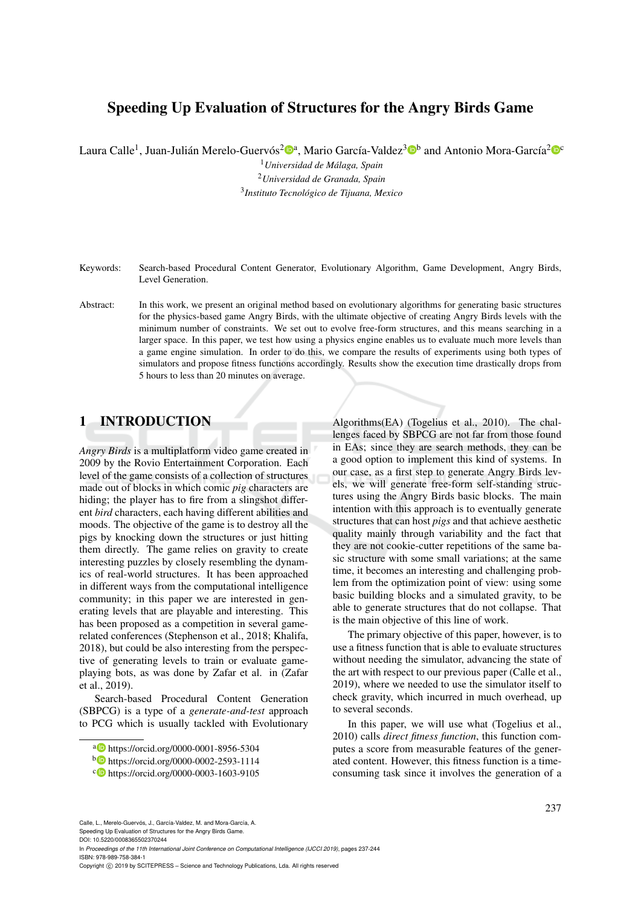## Speeding Up Evaluation of Structures for the Angry Birds Game

Laura Calle<sup>1</sup>, Juan-Julián Merelo-Guervós<sup>2</sup>®ª, Mario García-Valdez<sup>3</sup>®b and Antonio Mora-García<sup>2</sup>®°

<sup>1</sup>*Universidad de Malaga, Spain ´* <sup>2</sup>*Universidad de Granada, Spain* 3 *Instituto Tecnologico de Tijuana, Mexico ´*

- Keywords: Search-based Procedural Content Generator, Evolutionary Algorithm, Game Development, Angry Birds, Level Generation.
- Abstract: In this work, we present an original method based on evolutionary algorithms for generating basic structures for the physics-based game Angry Birds, with the ultimate objective of creating Angry Birds levels with the minimum number of constraints. We set out to evolve free-form structures, and this means searching in a larger space. In this paper, we test how using a physics engine enables us to evaluate much more levels than a game engine simulation. In order to do this, we compare the results of experiments using both types of simulators and propose fitness functions accordingly. Results show the execution time drastically drops from 5 hours to less than 20 minutes on average.

## 1 INTRODUCTION

*Angry Birds* is a multiplatform video game created in 2009 by the Rovio Entertainment Corporation. Each level of the game consists of a collection of structures made out of blocks in which comic *pig* characters are hiding; the player has to fire from a slingshot different *bird* characters, each having different abilities and moods. The objective of the game is to destroy all the pigs by knocking down the structures or just hitting them directly. The game relies on gravity to create interesting puzzles by closely resembling the dynamics of real-world structures. It has been approached in different ways from the computational intelligence community; in this paper we are interested in generating levels that are playable and interesting. This has been proposed as a competition in several gamerelated conferences (Stephenson et al., 2018; Khalifa, 2018), but could be also interesting from the perspective of generating levels to train or evaluate gameplaying bots, as was done by Zafar et al. in (Zafar et al., 2019).

Search-based Procedural Content Generation (SBPCG) is a type of a *generate-and-test* approach to PCG which is usually tackled with Evolutionary

Algorithms(EA) (Togelius et al., 2010). The challenges faced by SBPCG are not far from those found in EAs; since they are search methods, they can be a good option to implement this kind of systems. In our case, as a first step to generate Angry Birds levels, we will generate free-form self-standing structures using the Angry Birds basic blocks. The main intention with this approach is to eventually generate structures that can host *pigs* and that achieve aesthetic quality mainly through variability and the fact that they are not cookie-cutter repetitions of the same basic structure with some small variations; at the same time, it becomes an interesting and challenging problem from the optimization point of view: using some basic building blocks and a simulated gravity, to be able to generate structures that do not collapse. That is the main objective of this line of work.

The primary objective of this paper, however, is to use a fitness function that is able to evaluate structures without needing the simulator, advancing the state of the art with respect to our previous paper (Calle et al., 2019), where we needed to use the simulator itself to check gravity, which incurred in much overhead, up to several seconds.

In this paper, we will use what (Togelius et al., 2010) calls *direct fitness function*, this function computes a score from measurable features of the generated content. However, this fitness function is a timeconsuming task since it involves the generation of a

Calle, L., Merelo-Guervós, J., García-Valdez, M. and Mora-García, A. Speeding Up Evaluation of Structures for the Angry Birds Game.

DOI: 10.5220/0008365502370244

In *Proceedings of the 11th International Joint Conference on Computational Intelligence (IJCCI 2019)*, pages 237-244 ISBN: 978-989-758-384-1

<sup>a</sup> https://orcid.org/0000-0001-8956-5304

<sup>b</sup> https://orcid.org/0000-0002-2593-1114

<sup>c</sup> https://orcid.org/0000-0003-1603-9105

Copyright © 2019 by SCITEPRESS - Science and Technology Publications, Lda. All rights reserved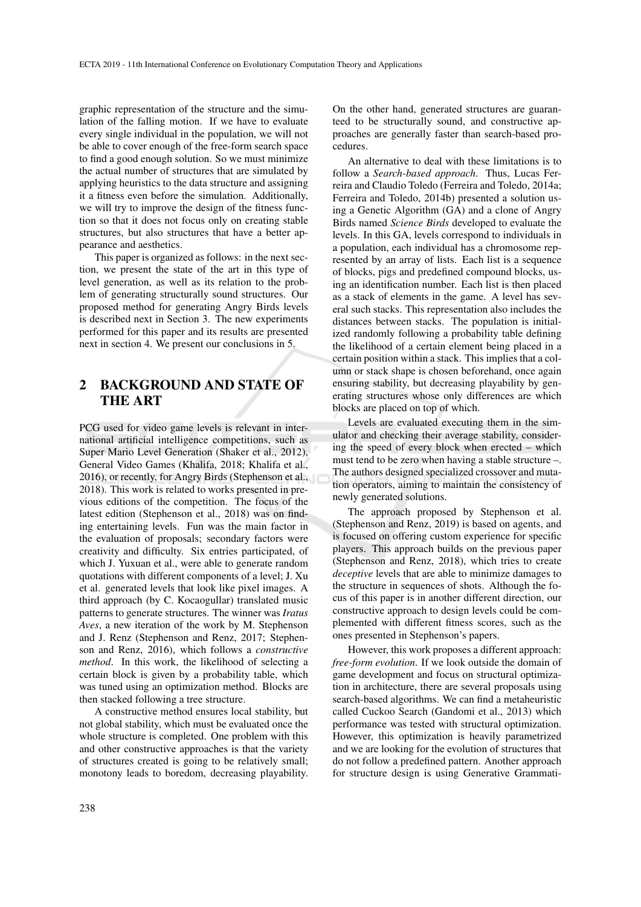graphic representation of the structure and the simulation of the falling motion. If we have to evaluate every single individual in the population, we will not be able to cover enough of the free-form search space to find a good enough solution. So we must minimize the actual number of structures that are simulated by applying heuristics to the data structure and assigning it a fitness even before the simulation. Additionally, we will try to improve the design of the fitness function so that it does not focus only on creating stable structures, but also structures that have a better appearance and aesthetics.

This paper is organized as follows: in the next section, we present the state of the art in this type of level generation, as well as its relation to the problem of generating structurally sound structures. Our proposed method for generating Angry Birds levels is described next in Section 3. The new experiments performed for this paper and its results are presented next in section 4. We present our conclusions in 5.

## 2 BACKGROUND AND STATE OF THE ART

PCG used for video game levels is relevant in international artificial intelligence competitions, such as Super Mario Level Generation (Shaker et al., 2012), General Video Games (Khalifa, 2018; Khalifa et al., 2016), or recently, for Angry Birds (Stephenson et al., 2018). This work is related to works presented in previous editions of the competition. The focus of the latest edition (Stephenson et al., 2018) was on finding entertaining levels. Fun was the main factor in the evaluation of proposals; secondary factors were creativity and difficulty. Six entries participated, of which J. Yuxuan et al., were able to generate random quotations with different components of a level; J. Xu et al. generated levels that look like pixel images. A third approach (by C. Kocaogullar) translated music patterns to generate structures. The winner was *Iratus Aves*, a new iteration of the work by M. Stephenson and J. Renz (Stephenson and Renz, 2017; Stephenson and Renz, 2016), which follows a *constructive method*. In this work, the likelihood of selecting a certain block is given by a probability table, which was tuned using an optimization method. Blocks are then stacked following a tree structure.

A constructive method ensures local stability, but not global stability, which must be evaluated once the whole structure is completed. One problem with this and other constructive approaches is that the variety of structures created is going to be relatively small; monotony leads to boredom, decreasing playability.

On the other hand, generated structures are guaranteed to be structurally sound, and constructive approaches are generally faster than search-based procedures.

An alternative to deal with these limitations is to follow a *Search-based approach*. Thus, Lucas Ferreira and Claudio Toledo (Ferreira and Toledo, 2014a; Ferreira and Toledo, 2014b) presented a solution using a Genetic Algorithm (GA) and a clone of Angry Birds named *Science Birds* developed to evaluate the levels. In this GA, levels correspond to individuals in a population, each individual has a chromosome represented by an array of lists. Each list is a sequence of blocks, pigs and predefined compound blocks, using an identification number. Each list is then placed as a stack of elements in the game. A level has several such stacks. This representation also includes the distances between stacks. The population is initialized randomly following a probability table defining the likelihood of a certain element being placed in a certain position within a stack. This implies that a column or stack shape is chosen beforehand, once again ensuring stability, but decreasing playability by generating structures whose only differences are which blocks are placed on top of which.

Levels are evaluated executing them in the simulator and checking their average stability, considering the speed of every block when erected – which must tend to be zero when having a stable structure –. The authors designed specialized crossover and mutation operators, aiming to maintain the consistency of newly generated solutions.

The approach proposed by Stephenson et al. (Stephenson and Renz, 2019) is based on agents, and is focused on offering custom experience for specific players. This approach builds on the previous paper (Stephenson and Renz, 2018), which tries to create *deceptive* levels that are able to minimize damages to the structure in sequences of shots. Although the focus of this paper is in another different direction, our constructive approach to design levels could be complemented with different fitness scores, such as the ones presented in Stephenson's papers.

However, this work proposes a different approach: *free-form evolution*. If we look outside the domain of game development and focus on structural optimization in architecture, there are several proposals using search-based algorithms. We can find a metaheuristic called Cuckoo Search (Gandomi et al., 2013) which performance was tested with structural optimization. However, this optimization is heavily parametrized and we are looking for the evolution of structures that do not follow a predefined pattern. Another approach for structure design is using Generative Grammati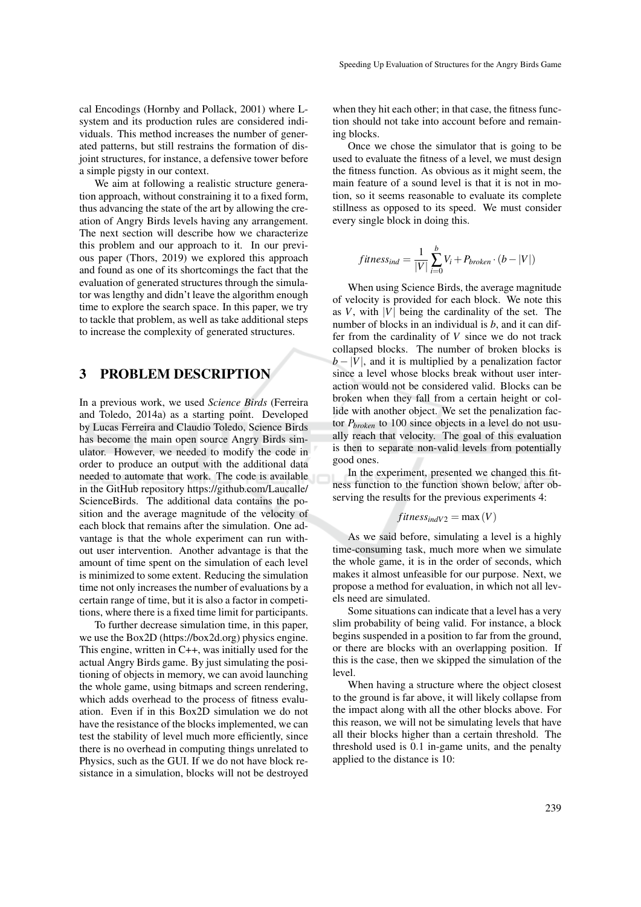cal Encodings (Hornby and Pollack, 2001) where Lsystem and its production rules are considered individuals. This method increases the number of generated patterns, but still restrains the formation of disjoint structures, for instance, a defensive tower before a simple pigsty in our context.

We aim at following a realistic structure generation approach, without constraining it to a fixed form, thus advancing the state of the art by allowing the creation of Angry Birds levels having any arrangement. The next section will describe how we characterize this problem and our approach to it. In our previous paper (Thors, 2019) we explored this approach and found as one of its shortcomings the fact that the evaluation of generated structures through the simulator was lengthy and didn't leave the algorithm enough time to explore the search space. In this paper, we try to tackle that problem, as well as take additional steps to increase the complexity of generated structures.

## 3 PROBLEM DESCRIPTION

In a previous work, we used *Science Birds* (Ferreira and Toledo, 2014a) as a starting point. Developed by Lucas Ferreira and Claudio Toledo, Science Birds has become the main open source Angry Birds simulator. However, we needed to modify the code in order to produce an output with the additional data needed to automate that work. The code is available in the GitHub repository https://github.com/Laucalle/ ScienceBirds. The additional data contains the position and the average magnitude of the velocity of each block that remains after the simulation. One advantage is that the whole experiment can run without user intervention. Another advantage is that the amount of time spent on the simulation of each level is minimized to some extent. Reducing the simulation time not only increases the number of evaluations by a certain range of time, but it is also a factor in competitions, where there is a fixed time limit for participants.

To further decrease simulation time, in this paper, we use the Box2D (https://box2d.org) physics engine. This engine, written in C++, was initially used for the actual Angry Birds game. By just simulating the positioning of objects in memory, we can avoid launching the whole game, using bitmaps and screen rendering, which adds overhead to the process of fitness evaluation. Even if in this Box2D simulation we do not have the resistance of the blocks implemented, we can test the stability of level much more efficiently, since there is no overhead in computing things unrelated to Physics, such as the GUI. If we do not have block resistance in a simulation, blocks will not be destroyed when they hit each other; in that case, the fitness function should not take into account before and remaining blocks.

Once we chose the simulator that is going to be used to evaluate the fitness of a level, we must design the fitness function. As obvious as it might seem, the main feature of a sound level is that it is not in motion, so it seems reasonable to evaluate its complete stillness as opposed to its speed. We must consider every single block in doing this.

$$
fitness_{ind} = \frac{1}{|V|} \sum_{i=0}^{b} V_i + P_{broken} \cdot (b - |V|)
$$

When using Science Birds, the average magnitude of velocity is provided for each block. We note this as  $V$ , with  $|V|$  being the cardinality of the set. The number of blocks in an individual is *b*, and it can differ from the cardinality of *V* since we do not track collapsed blocks. The number of broken blocks is  $b - |V|$ , and it is multiplied by a penalization factor since a level whose blocks break without user interaction would not be considered valid. Blocks can be broken when they fall from a certain height or collide with another object. We set the penalization factor *Pbroken* to 100 since objects in a level do not usually reach that velocity. The goal of this evaluation is then to separate non-valid levels from potentially good ones.

In the experiment, presented we changed this fitness function to the function shown below, after observing the results for the previous experiments 4:

$$
fitness_{indV2} = \max(V)
$$

As we said before, simulating a level is a highly time-consuming task, much more when we simulate the whole game, it is in the order of seconds, which makes it almost unfeasible for our purpose. Next, we propose a method for evaluation, in which not all levels need are simulated.

Some situations can indicate that a level has a very slim probability of being valid. For instance, a block begins suspended in a position to far from the ground, or there are blocks with an overlapping position. If this is the case, then we skipped the simulation of the level.

When having a structure where the object closest to the ground is far above, it will likely collapse from the impact along with all the other blocks above. For this reason, we will not be simulating levels that have all their blocks higher than a certain threshold. The threshold used is 0.1 in-game units, and the penalty applied to the distance is 10: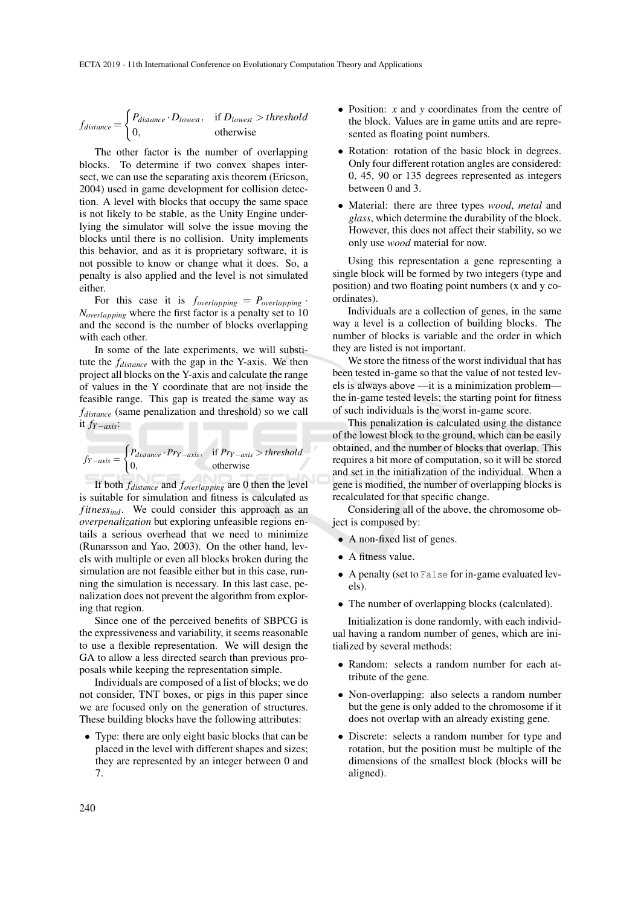$$
f_{distance} = \begin{cases} P_{distance} \cdot D_{lowest}, & \text{if } D_{lowest} > threshold \\ 0, & \text{otherwise} \end{cases}
$$

The other factor is the number of overlapping blocks. To determine if two convex shapes intersect, we can use the separating axis theorem (Ericson, 2004) used in game development for collision detection. A level with blocks that occupy the same space is not likely to be stable, as the Unity Engine underlying the simulator will solve the issue moving the blocks until there is no collision. Unity implements this behavior, and as it is proprietary software, it is not possible to know or change what it does. So, a penalty is also applied and the level is not simulated either.

For this case it is  $f_{overlapping} = P_{overlapping}$ . *Noverlapping* where the first factor is a penalty set to 10 and the second is the number of blocks overlapping with each other.

In some of the late experiments, we will substitute the *fdistance* with the gap in the Y-axis. We then project all blocks on the Y-axis and calculate the range of values in the Y coordinate that are not inside the feasible range. This gap is treated the same way as *fdistance* (same penalization and threshold) so we call it *fY*−*axis*:

$$
f_{Y-axis} = \begin{cases} P_{distance} \cdot Pr_{Y-axis}, & \text{if } Pr_{Y-axis} > threshold \\ 0, & \text{otherwise} \end{cases}
$$

If both *fdistance* and *foverlapping* are 0 then the level is suitable for simulation and fitness is calculated as *fitnessind*. We could consider this approach as an *overpenalization* but exploring unfeasible regions entails a serious overhead that we need to minimize (Runarsson and Yao, 2003). On the other hand, levels with multiple or even all blocks broken during the simulation are not feasible either but in this case, running the simulation is necessary. In this last case, penalization does not prevent the algorithm from exploring that region.

Since one of the perceived benefits of SBPCG is the expressiveness and variability, it seems reasonable to use a flexible representation. We will design the GA to allow a less directed search than previous proposals while keeping the representation simple.

Individuals are composed of a list of blocks; we do not consider, TNT boxes, or pigs in this paper since we are focused only on the generation of structures. These building blocks have the following attributes:

• Type: there are only eight basic blocks that can be placed in the level with different shapes and sizes; they are represented by an integer between 0 and 7.

- Position: *x* and *y* coordinates from the centre of the block. Values are in game units and are represented as floating point numbers.
- Rotation: rotation of the basic block in degrees. Only four different rotation angles are considered: 0, 45, 90 or 135 degrees represented as integers between 0 and 3.
- Material: there are three types *wood*, *metal* and *glass*, which determine the durability of the block. However, this does not affect their stability, so we only use *wood* material for now.

Using this representation a gene representing a single block will be formed by two integers (type and position) and two floating point numbers (x and y coordinates).

Individuals are a collection of genes, in the same way a level is a collection of building blocks. The number of blocks is variable and the order in which they are listed is not important.

We store the fitness of the worst individual that has been tested in-game so that the value of not tested levels is always above —it is a minimization problem the in-game tested levels; the starting point for fitness of such individuals is the worst in-game score.

This penalization is calculated using the distance of the lowest block to the ground, which can be easily obtained, and the number of blocks that overlap. This requires a bit more of computation, so it will be stored and set in the initialization of the individual. When a gene is modified, the number of overlapping blocks is recalculated for that specific change.

Considering all of the above, the chromosome object is composed by:

- A non-fixed list of genes.
- A fitness value.
- A penalty (set to False for in-game evaluated levels).
- The number of overlapping blocks (calculated).

Initialization is done randomly, with each individual having a random number of genes, which are initialized by several methods:

- Random: selects a random number for each attribute of the gene.
- Non-overlapping: also selects a random number but the gene is only added to the chromosome if it does not overlap with an already existing gene.
- Discrete: selects a random number for type and rotation, but the position must be multiple of the dimensions of the smallest block (blocks will be aligned).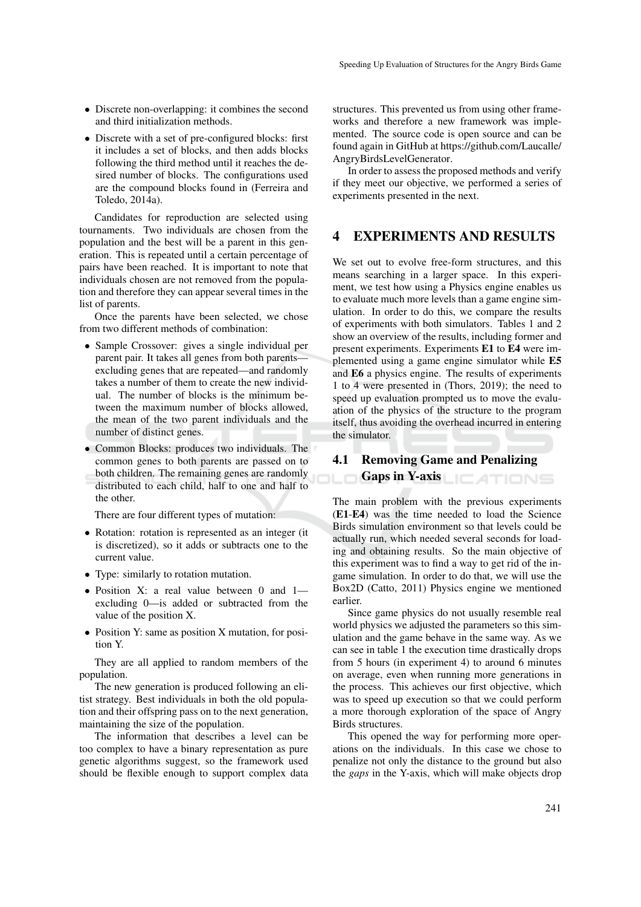- Discrete non-overlapping: it combines the second and third initialization methods.
- Discrete with a set of pre-configured blocks: first it includes a set of blocks, and then adds blocks following the third method until it reaches the desired number of blocks. The configurations used are the compound blocks found in (Ferreira and Toledo, 2014a).

Candidates for reproduction are selected using tournaments. Two individuals are chosen from the population and the best will be a parent in this generation. This is repeated until a certain percentage of pairs have been reached. It is important to note that individuals chosen are not removed from the population and therefore they can appear several times in the list of parents.

Once the parents have been selected, we chose from two different methods of combination:

- Sample Crossover: gives a single individual per parent pair. It takes all genes from both parents excluding genes that are repeated—and randomly takes a number of them to create the new individual. The number of blocks is the minimum between the maximum number of blocks allowed, the mean of the two parent individuals and the number of distinct genes.
- Common Blocks: produces two individuals. The common genes to both parents are passed on to both children. The remaining genes are randomly distributed to each child, half to one and half to the other.

There are four different types of mutation:

- Rotation: rotation is represented as an integer (it is discretized), so it adds or subtracts one to the current value.
- Type: similarly to rotation mutation.
- Position X: a real value between 0 and 1 excluding 0—is added or subtracted from the value of the position X.
- Position Y: same as position X mutation, for position Y.

They are all applied to random members of the population.

The new generation is produced following an elitist strategy. Best individuals in both the old population and their offspring pass on to the next generation, maintaining the size of the population.

The information that describes a level can be too complex to have a binary representation as pure genetic algorithms suggest, so the framework used should be flexible enough to support complex data structures. This prevented us from using other frameworks and therefore a new framework was implemented. The source code is open source and can be found again in GitHub at https://github.com/Laucalle/ AngryBirdsLevelGenerator.

In order to assess the proposed methods and verify if they meet our objective, we performed a series of experiments presented in the next.

### 4 EXPERIMENTS AND RESULTS

We set out to evolve free-form structures, and this means searching in a larger space. In this experiment, we test how using a Physics engine enables us to evaluate much more levels than a game engine simulation. In order to do this, we compare the results of experiments with both simulators. Tables 1 and 2 show an overview of the results, including former and present experiments. Experiments E1 to E4 were implemented using a game engine simulator while E5 and E6 a physics engine. The results of experiments 1 to 4 were presented in (Thors, 2019); the need to speed up evaluation prompted us to move the evaluation of the physics of the structure to the program itself, thus avoiding the overhead incurred in entering the simulator.

# 4.1 Removing Game and Penalizing Gaps in Y-axis LICATIONS

The main problem with the previous experiments (E1-E4) was the time needed to load the Science Birds simulation environment so that levels could be actually run, which needed several seconds for loading and obtaining results. So the main objective of this experiment was to find a way to get rid of the ingame simulation. In order to do that, we will use the Box2D (Catto, 2011) Physics engine we mentioned earlier.

Since game physics do not usually resemble real world physics we adjusted the parameters so this simulation and the game behave in the same way. As we can see in table 1 the execution time drastically drops from 5 hours (in experiment 4) to around 6 minutes on average, even when running more generations in the process. This achieves our first objective, which was to speed up execution so that we could perform a more thorough exploration of the space of Angry Birds structures.

This opened the way for performing more operations on the individuals. In this case we chose to penalize not only the distance to the ground but also the *gaps* in the Y-axis, which will make objects drop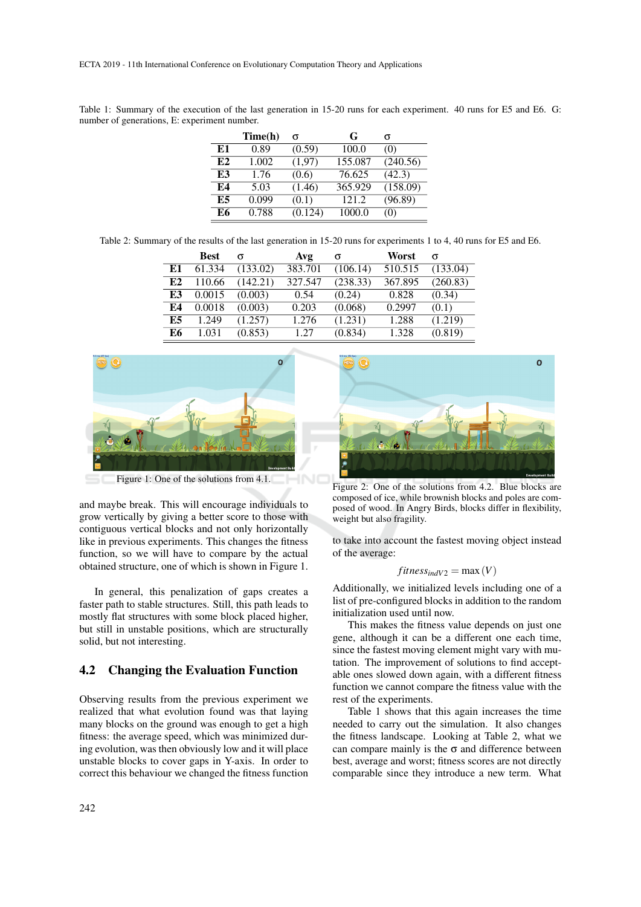Table 1: Summary of the execution of the last generation in 15-20 runs for each experiment. 40 runs for E5 and E6. G: number of generations, E: experiment number.

|    | Time(h) | σ       | G       | σ        |
|----|---------|---------|---------|----------|
| E1 | 0.89    | (0.59)  | 100.0   | (0)      |
| E2 | 1.002   | (1,97)  | 155.087 | (240.56) |
| E3 | 1.76    | (0.6)   | 76.625  | (42.3)   |
| E4 | 5.03    | (1.46)  | 365.929 | (158.09) |
| Е5 | 0.099   | (0.1)   | 121.2   | (96.89)  |
| E6 | 0.788   | (0.124) | 1000.0  | (0)      |

Table 2: Summary of the results of the last generation in 15-20 runs for experiments 1 to 4, 40 runs for E5 and E6.

|    | <b>Best</b> | σ        | Avg     | σ        | Worst   |          |
|----|-------------|----------|---------|----------|---------|----------|
| E1 | 61.334      | (133.02) | 383.701 | (106.14) | 510.515 | (133.04) |
| E2 | 110.66      | (142.21) | 327.547 | (238.33) | 367.895 | (260.83) |
| E3 | 0.0015      | (0.003)  | 0.54    | (0.24)   | 0.828   | (0.34)   |
| E4 | 0.0018      | (0.003)  | 0.203   | (0.068)  | 0.2997  | (0.1)    |
| E5 | 1.249       | (1.257)  | 1.276   | (1.231)  | 1.288   | (1.219)  |
| E6 | 1.031       | (0.853)  | 1.27    | (0.834)  | 1.328   | (0.819)  |



and maybe break. This will encourage individuals to grow vertically by giving a better score to those with contiguous vertical blocks and not only horizontally like in previous experiments. This changes the fitness function, so we will have to compare by the actual obtained structure, one of which is shown in Figure 1.

In general, this penalization of gaps creates a faster path to stable structures. Still, this path leads to mostly flat structures with some block placed higher, but still in unstable positions, which are structurally solid, but not interesting.

#### 4.2 Changing the Evaluation Function

Observing results from the previous experiment we realized that what evolution found was that laying many blocks on the ground was enough to get a high fitness: the average speed, which was minimized during evolution, was then obviously low and it will place unstable blocks to cover gaps in Y-axis. In order to correct this behaviour we changed the fitness function



Figure 2: One of the solutions from 4.2. Blue blocks are composed of ice, while brownish blocks and poles are composed of wood. In Angry Birds, blocks differ in flexibility, weight but also fragility.

to take into account the fastest moving object instead of the average:

$$
fitness_{indV2} = \max(V)
$$

Additionally, we initialized levels including one of a list of pre-configured blocks in addition to the random initialization used until now.

This makes the fitness value depends on just one gene, although it can be a different one each time, since the fastest moving element might vary with mutation. The improvement of solutions to find acceptable ones slowed down again, with a different fitness function we cannot compare the fitness value with the rest of the experiments.

Table 1 shows that this again increases the time needed to carry out the simulation. It also changes the fitness landscape. Looking at Table 2, what we can compare mainly is the  $\sigma$  and difference between best, average and worst; fitness scores are not directly comparable since they introduce a new term. What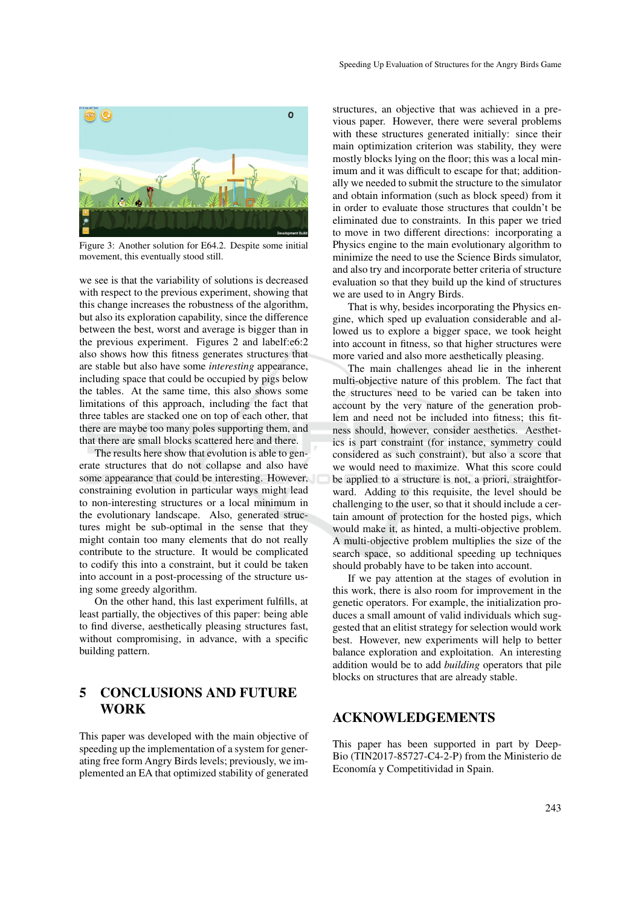

Figure 3: Another solution for E64.2. Despite some initial movement, this eventually stood still.

we see is that the variability of solutions is decreased with respect to the previous experiment, showing that this change increases the robustness of the algorithm, but also its exploration capability, since the difference between the best, worst and average is bigger than in the previous experiment. Figures 2 and labelf:e6:2 also shows how this fitness generates structures that are stable but also have some *interesting* appearance, including space that could be occupied by pigs below the tables. At the same time, this also shows some limitations of this approach, including the fact that three tables are stacked one on top of each other, that there are maybe too many poles supporting them, and that there are small blocks scattered here and there.

The results here show that evolution is able to generate structures that do not collapse and also have some appearance that could be interesting. However, constraining evolution in particular ways might lead to non-interesting structures or a local minimum in the evolutionary landscape. Also, generated structures might be sub-optimal in the sense that they might contain too many elements that do not really contribute to the structure. It would be complicated to codify this into a constraint, but it could be taken into account in a post-processing of the structure using some greedy algorithm.

On the other hand, this last experiment fulfills, at least partially, the objectives of this paper: being able to find diverse, aesthetically pleasing structures fast, without compromising, in advance, with a specific building pattern.

## 5 CONCLUSIONS AND FUTURE WORK

This paper was developed with the main objective of speeding up the implementation of a system for generating free form Angry Birds levels; previously, we implemented an EA that optimized stability of generated

structures, an objective that was achieved in a previous paper. However, there were several problems with these structures generated initially: since their main optimization criterion was stability, they were mostly blocks lying on the floor; this was a local minimum and it was difficult to escape for that; additionally we needed to submit the structure to the simulator and obtain information (such as block speed) from it in order to evaluate those structures that couldn't be eliminated due to constraints. In this paper we tried to move in two different directions: incorporating a Physics engine to the main evolutionary algorithm to minimize the need to use the Science Birds simulator, and also try and incorporate better criteria of structure evaluation so that they build up the kind of structures we are used to in Angry Birds.

That is why, besides incorporating the Physics engine, which sped up evaluation considerable and allowed us to explore a bigger space, we took height into account in fitness, so that higher structures were more varied and also more aesthetically pleasing.

The main challenges ahead lie in the inherent multi-objective nature of this problem. The fact that the structures need to be varied can be taken into account by the very nature of the generation problem and need not be included into fitness; this fitness should, however, consider aesthetics. Aesthetics is part constraint (for instance, symmetry could considered as such constraint), but also a score that we would need to maximize. What this score could be applied to a structure is not, a priori, straightforward. Adding to this requisite, the level should be challenging to the user, so that it should include a certain amount of protection for the hosted pigs, which would make it, as hinted, a multi-objective problem. A multi-objective problem multiplies the size of the search space, so additional speeding up techniques should probably have to be taken into account.

If we pay attention at the stages of evolution in this work, there is also room for improvement in the genetic operators. For example, the initialization produces a small amount of valid individuals which suggested that an elitist strategy for selection would work best. However, new experiments will help to better balance exploration and exploitation. An interesting addition would be to add *building* operators that pile blocks on structures that are already stable.

### ACKNOWLEDGEMENTS

This paper has been supported in part by Deep-Bio (TIN2017-85727-C4-2-P) from the Ministerio de Economía y Competitividad in Spain.